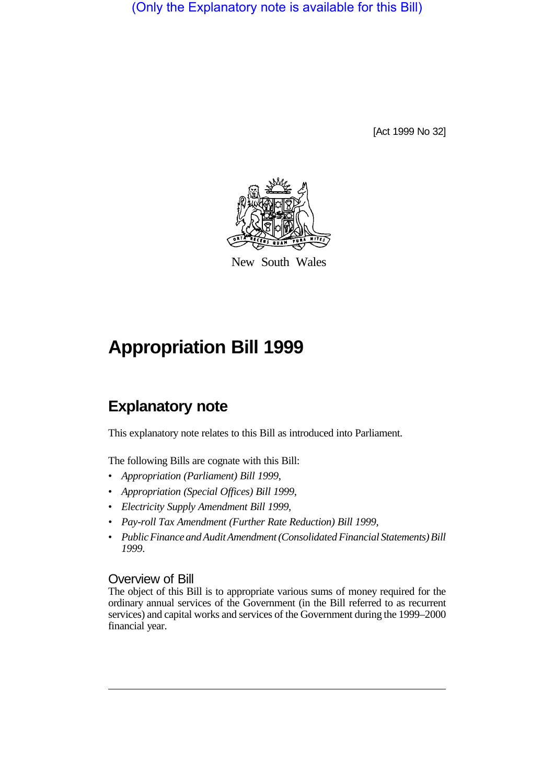(Only the Explanatory note is available for this Bill)

[Act 1999 No 32]



New South Wales

## **Appropriation Bill 1999**

## **Explanatory note**

This explanatory note relates to this Bill as introduced into Parliament.

The following Bills are cognate with this Bill:

- *Appropriation (Parliament) Bill 1999*,
- *Appropriation (Special Offices) Bill 1999*,
- *Electricity Supply Amendment Bill 1999,*
- *Pay-roll Tax Amendment (Further Rate Reduction) Bill 1999,*
- *Public Finance and Audit Amendment (Consolidated Financial Statements) Bill 1999*.

## Overview of Bill

The object of this Bill is to appropriate various sums of money required for the ordinary annual services of the Government (in the Bill referred to as recurrent services) and capital works and services of the Government during the 1999–2000 financial year.